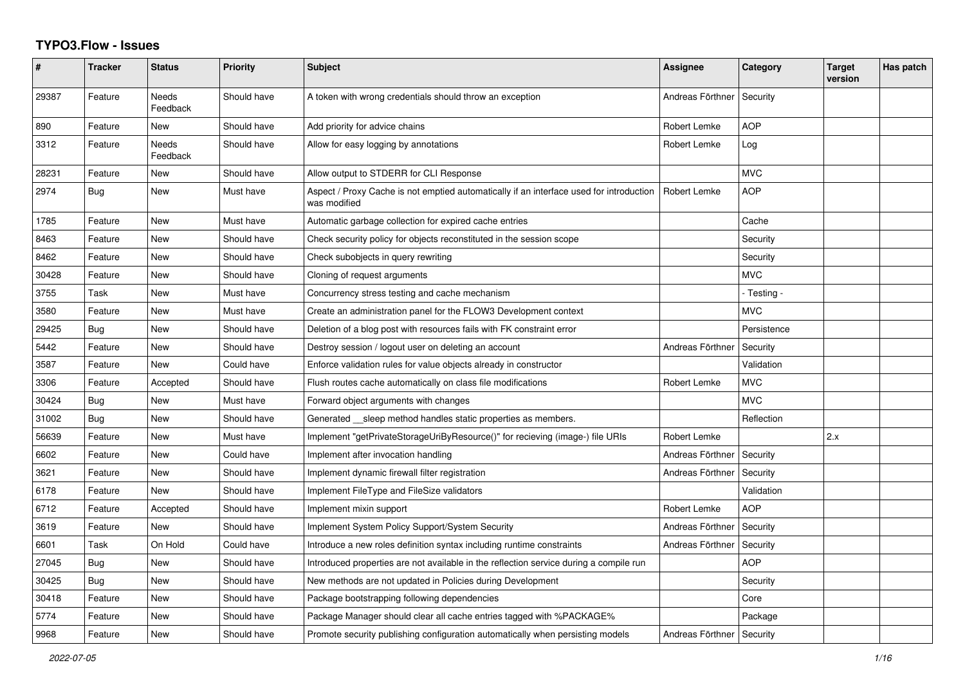## **TYPO3.Flow - Issues**

| #     | <b>Tracker</b> | <b>Status</b>            | <b>Priority</b> | <b>Subject</b>                                                                                          | Assignee         | Category    | <b>Target</b><br>version | Has patch |
|-------|----------------|--------------------------|-----------------|---------------------------------------------------------------------------------------------------------|------------------|-------------|--------------------------|-----------|
| 29387 | Feature        | Needs<br>Feedback        | Should have     | A token with wrong credentials should throw an exception                                                | Andreas Förthner | Security    |                          |           |
| 890   | Feature        | <b>New</b>               | Should have     | Add priority for advice chains                                                                          | Robert Lemke     | <b>AOP</b>  |                          |           |
| 3312  | Feature        | <b>Needs</b><br>Feedback | Should have     | Allow for easy logging by annotations                                                                   | Robert Lemke     | Log         |                          |           |
| 28231 | Feature        | <b>New</b>               | Should have     | Allow output to STDERR for CLI Response                                                                 |                  | <b>MVC</b>  |                          |           |
| 2974  | <b>Bug</b>     | <b>New</b>               | Must have       | Aspect / Proxy Cache is not emptied automatically if an interface used for introduction<br>was modified | Robert Lemke     | <b>AOP</b>  |                          |           |
| 1785  | Feature        | <b>New</b>               | Must have       | Automatic garbage collection for expired cache entries                                                  |                  | Cache       |                          |           |
| 8463  | Feature        | <b>New</b>               | Should have     | Check security policy for objects reconstituted in the session scope                                    |                  | Security    |                          |           |
| 8462  | Feature        | <b>New</b>               | Should have     | Check subobjects in query rewriting                                                                     |                  | Security    |                          |           |
| 30428 | Feature        | <b>New</b>               | Should have     | Cloning of request arguments                                                                            |                  | <b>MVC</b>  |                          |           |
| 3755  | Task           | <b>New</b>               | Must have       | Concurrency stress testing and cache mechanism                                                          |                  | - Testing - |                          |           |
| 3580  | Feature        | <b>New</b>               | Must have       | Create an administration panel for the FLOW3 Development context                                        |                  | <b>MVC</b>  |                          |           |
| 29425 | Bug            | <b>New</b>               | Should have     | Deletion of a blog post with resources fails with FK constraint error                                   |                  | Persistence |                          |           |
| 5442  | Feature        | <b>New</b>               | Should have     | Destroy session / logout user on deleting an account                                                    | Andreas Förthner | Security    |                          |           |
| 3587  | Feature        | <b>New</b>               | Could have      | Enforce validation rules for value objects already in constructor                                       |                  | Validation  |                          |           |
| 3306  | Feature        | Accepted                 | Should have     | Flush routes cache automatically on class file modifications                                            | Robert Lemke     | <b>MVC</b>  |                          |           |
| 30424 | <b>Bug</b>     | New                      | Must have       | Forward object arguments with changes                                                                   |                  | <b>MVC</b>  |                          |           |
| 31002 | Bug            | New                      | Should have     | Generated __sleep method handles static properties as members.                                          |                  | Reflection  |                          |           |
| 56639 | Feature        | <b>New</b>               | Must have       | Implement "getPrivateStorageUriByResource()" for recieving (image-) file URIs                           | Robert Lemke     |             | 2.x                      |           |
| 6602  | Feature        | New                      | Could have      | Implement after invocation handling                                                                     | Andreas Förthner | Security    |                          |           |
| 3621  | Feature        | <b>New</b>               | Should have     | Implement dynamic firewall filter registration                                                          | Andreas Förthner | Security    |                          |           |
| 6178  | Feature        | New                      | Should have     | Implement FileType and FileSize validators                                                              |                  | Validation  |                          |           |
| 6712  | Feature        | Accepted                 | Should have     | Implement mixin support                                                                                 | Robert Lemke     | <b>AOP</b>  |                          |           |
| 3619  | Feature        | New                      | Should have     | Implement System Policy Support/System Security                                                         | Andreas Förthner | Security    |                          |           |
| 6601  | Task           | On Hold                  | Could have      | Introduce a new roles definition syntax including runtime constraints                                   | Andreas Förthner | Security    |                          |           |
| 27045 | Bug            | <b>New</b>               | Should have     | Introduced properties are not available in the reflection service during a compile run                  |                  | AOP         |                          |           |
| 30425 | Bug            | <b>New</b>               | Should have     | New methods are not updated in Policies during Development                                              |                  | Security    |                          |           |
| 30418 | Feature        | <b>New</b>               | Should have     | Package bootstrapping following dependencies                                                            |                  | Core        |                          |           |
| 5774  | Feature        | <b>New</b>               | Should have     | Package Manager should clear all cache entries tagged with %PACKAGE%                                    |                  | Package     |                          |           |
| 9968  | Feature        | <b>New</b>               | Should have     | Promote security publishing configuration automatically when persisting models                          | Andreas Förthner | Security    |                          |           |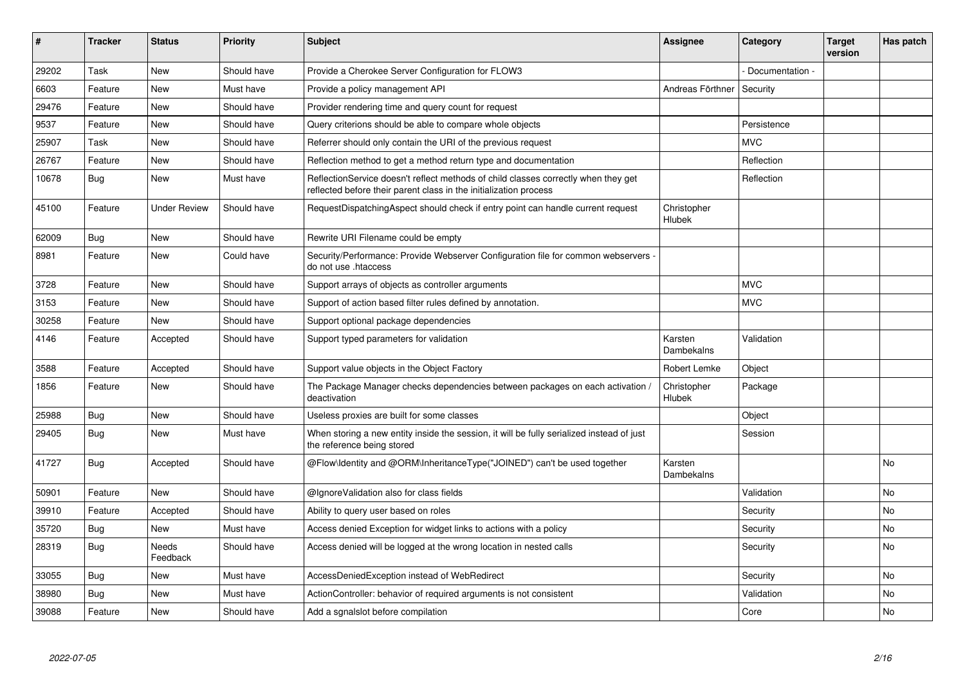| #     | <b>Tracker</b> | <b>Status</b>       | <b>Priority</b> | <b>Subject</b>                                                                                                                                          | Assignee              | Category        | <b>Target</b><br>version | Has patch      |
|-------|----------------|---------------------|-----------------|---------------------------------------------------------------------------------------------------------------------------------------------------------|-----------------------|-----------------|--------------------------|----------------|
| 29202 | Task           | <b>New</b>          | Should have     | Provide a Cherokee Server Configuration for FLOW3                                                                                                       |                       | Documentation - |                          |                |
| 6603  | Feature        | <b>New</b>          | Must have       | Provide a policy management API                                                                                                                         | Andreas Förthner      | Security        |                          |                |
| 29476 | Feature        | <b>New</b>          | Should have     | Provider rendering time and query count for request                                                                                                     |                       |                 |                          |                |
| 9537  | Feature        | <b>New</b>          | Should have     | Query criterions should be able to compare whole objects                                                                                                |                       | Persistence     |                          |                |
| 25907 | Task           | <b>New</b>          | Should have     | Referrer should only contain the URI of the previous request                                                                                            |                       | <b>MVC</b>      |                          |                |
| 26767 | Feature        | <b>New</b>          | Should have     | Reflection method to get a method return type and documentation                                                                                         |                       | Reflection      |                          |                |
| 10678 | <b>Bug</b>     | <b>New</b>          | Must have       | ReflectionService doesn't reflect methods of child classes correctly when they get<br>reflected before their parent class in the initialization process |                       | Reflection      |                          |                |
| 45100 | Feature        | <b>Under Review</b> | Should have     | RequestDispatchingAspect should check if entry point can handle current request                                                                         | Christopher<br>Hlubek |                 |                          |                |
| 62009 | Bug            | <b>New</b>          | Should have     | Rewrite URI Filename could be empty                                                                                                                     |                       |                 |                          |                |
| 8981  | Feature        | <b>New</b>          | Could have      | Security/Performance: Provide Webserver Configuration file for common webservers -<br>do not use .htaccess                                              |                       |                 |                          |                |
| 3728  | Feature        | <b>New</b>          | Should have     | Support arrays of objects as controller arguments                                                                                                       |                       | <b>MVC</b>      |                          |                |
| 3153  | Feature        | <b>New</b>          | Should have     | Support of action based filter rules defined by annotation.                                                                                             |                       | <b>MVC</b>      |                          |                |
| 30258 | Feature        | <b>New</b>          | Should have     | Support optional package dependencies                                                                                                                   |                       |                 |                          |                |
| 4146  | Feature        | Accepted            | Should have     | Support typed parameters for validation                                                                                                                 | Karsten<br>Dambekalns | Validation      |                          |                |
| 3588  | Feature        | Accepted            | Should have     | Support value objects in the Object Factory                                                                                                             | Robert Lemke          | Object          |                          |                |
| 1856  | Feature        | New                 | Should have     | The Package Manager checks dependencies between packages on each activation /<br>deactivation                                                           | Christopher<br>Hlubek | Package         |                          |                |
| 25988 | Bug            | <b>New</b>          | Should have     | Useless proxies are built for some classes                                                                                                              |                       | Object          |                          |                |
| 29405 | <b>Bug</b>     | <b>New</b>          | Must have       | When storing a new entity inside the session, it will be fully serialized instead of just<br>the reference being stored                                 |                       | Session         |                          |                |
| 41727 | <b>Bug</b>     | Accepted            | Should have     | @Flow\Identity and @ORM\InheritanceType("JOINED") can't be used together                                                                                | Karsten<br>Dambekalns |                 |                          | <b>No</b>      |
| 50901 | Feature        | <b>New</b>          | Should have     | @IgnoreValidation also for class fields                                                                                                                 |                       | Validation      |                          | N <sub>o</sub> |
| 39910 | Feature        | Accepted            | Should have     | Ability to query user based on roles                                                                                                                    |                       | Security        |                          | No             |
| 35720 | Bug            | <b>New</b>          | Must have       | Access denied Exception for widget links to actions with a policy                                                                                       |                       | Security        |                          | No.            |
| 28319 | <b>Bug</b>     | Needs<br>Feedback   | Should have     | Access denied will be logged at the wrong location in nested calls                                                                                      |                       | Security        |                          | No             |
| 33055 | <b>Bug</b>     | <b>New</b>          | Must have       | AccessDeniedException instead of WebRedirect                                                                                                            |                       | Security        |                          | <b>No</b>      |
| 38980 | Bug            | New                 | Must have       | ActionController: behavior of required arguments is not consistent                                                                                      |                       | Validation      |                          | No             |
| 39088 | Feature        | <b>New</b>          | Should have     | Add a sgnalslot before compilation                                                                                                                      |                       | Core            |                          | No.            |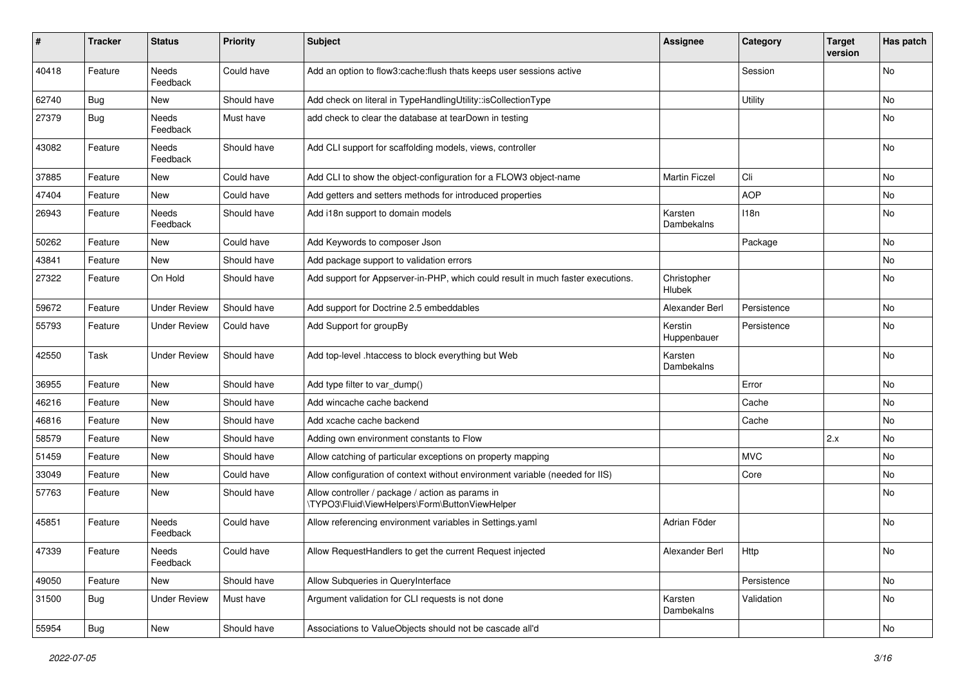| $\sharp$ | <b>Tracker</b> | <b>Status</b>            | <b>Priority</b> | <b>Subject</b>                                                                                     | <b>Assignee</b>        | Category    | <b>Target</b><br>version | Has patch                    |
|----------|----------------|--------------------------|-----------------|----------------------------------------------------------------------------------------------------|------------------------|-------------|--------------------------|------------------------------|
| 40418    | Feature        | Needs<br>Feedback        | Could have      | Add an option to flow3:cache:flush thats keeps user sessions active                                |                        | Session     |                          | <b>No</b>                    |
| 62740    | Bug            | New                      | Should have     | Add check on literal in TypeHandlingUtility::isCollectionType                                      |                        | Utility     |                          | No                           |
| 27379    | <b>Bug</b>     | Needs<br>Feedback        | Must have       | add check to clear the database at tearDown in testing                                             |                        |             |                          | No                           |
| 43082    | Feature        | <b>Needs</b><br>Feedback | Should have     | Add CLI support for scaffolding models, views, controller                                          |                        |             |                          | <b>No</b>                    |
| 37885    | Feature        | New                      | Could have      | Add CLI to show the object-configuration for a FLOW3 object-name                                   | <b>Martin Ficzel</b>   | Cli         |                          | <b>No</b>                    |
| 47404    | Feature        | New                      | Could have      | Add getters and setters methods for introduced properties                                          |                        | <b>AOP</b>  |                          | No                           |
| 26943    | Feature        | Needs<br>Feedback        | Should have     | Add i18n support to domain models                                                                  | Karsten<br>Dambekalns  | 118n        |                          | No                           |
| 50262    | Feature        | New                      | Could have      | Add Keywords to composer Json                                                                      |                        | Package     |                          | <b>No</b>                    |
| 43841    | Feature        | New                      | Should have     | Add package support to validation errors                                                           |                        |             |                          | No                           |
| 27322    | Feature        | On Hold                  | Should have     | Add support for Appserver-in-PHP, which could result in much faster executions.                    | Christopher<br>Hlubek  |             |                          | No                           |
| 59672    | Feature        | <b>Under Review</b>      | Should have     | Add support for Doctrine 2.5 embeddables                                                           | Alexander Berl         | Persistence |                          | <b>No</b>                    |
| 55793    | Feature        | <b>Under Review</b>      | Could have      | Add Support for groupBy                                                                            | Kerstin<br>Huppenbauer | Persistence |                          | No                           |
| 42550    | Task           | <b>Under Review</b>      | Should have     | Add top-level .htaccess to block everything but Web                                                | Karsten<br>Dambekalns  |             |                          | No                           |
| 36955    | Feature        | <b>New</b>               | Should have     | Add type filter to var dump()                                                                      |                        | Error       |                          | <b>No</b>                    |
| 46216    | Feature        | New                      | Should have     | Add wincache cache backend                                                                         |                        | Cache       |                          | <b>No</b>                    |
| 46816    | Feature        | New                      | Should have     | Add xcache cache backend                                                                           |                        | Cache       |                          | No                           |
| 58579    | Feature        | New                      | Should have     | Adding own environment constants to Flow                                                           |                        |             | 2.x                      | No                           |
| 51459    | Feature        | New                      | Should have     | Allow catching of particular exceptions on property mapping                                        |                        | <b>MVC</b>  |                          | No                           |
| 33049    | Feature        | New                      | Could have      | Allow configuration of context without environment variable (needed for IIS)                       |                        | Core        |                          | No                           |
| 57763    | Feature        | New                      | Should have     | Allow controller / package / action as params in<br>\TYPO3\Fluid\ViewHelpers\Form\ButtonViewHelper |                        |             |                          | No                           |
| 45851    | Feature        | Needs<br>Feedback        | Could have      | Allow referencing environment variables in Settings.yaml                                           | Adrian Föder           |             |                          | No                           |
| 47339    | Feature        | Needs<br>Feedback        | Could have      | Allow RequestHandlers to get the current Request injected                                          | Alexander Berl         | Http        |                          | No                           |
| 49050    | Feature        | New                      | Should have     | Allow Subqueries in QueryInterface                                                                 |                        | Persistence |                          | No                           |
| 31500    | <b>Bug</b>     | <b>Under Review</b>      | Must have       | Argument validation for CLI requests is not done                                                   | Karsten<br>Dambekalns  | Validation  |                          | No                           |
| 55954    | Bug            | New                      | Should have     | Associations to ValueObjects should not be cascade all'd                                           |                        |             |                          | $\operatorname{\mathsf{No}}$ |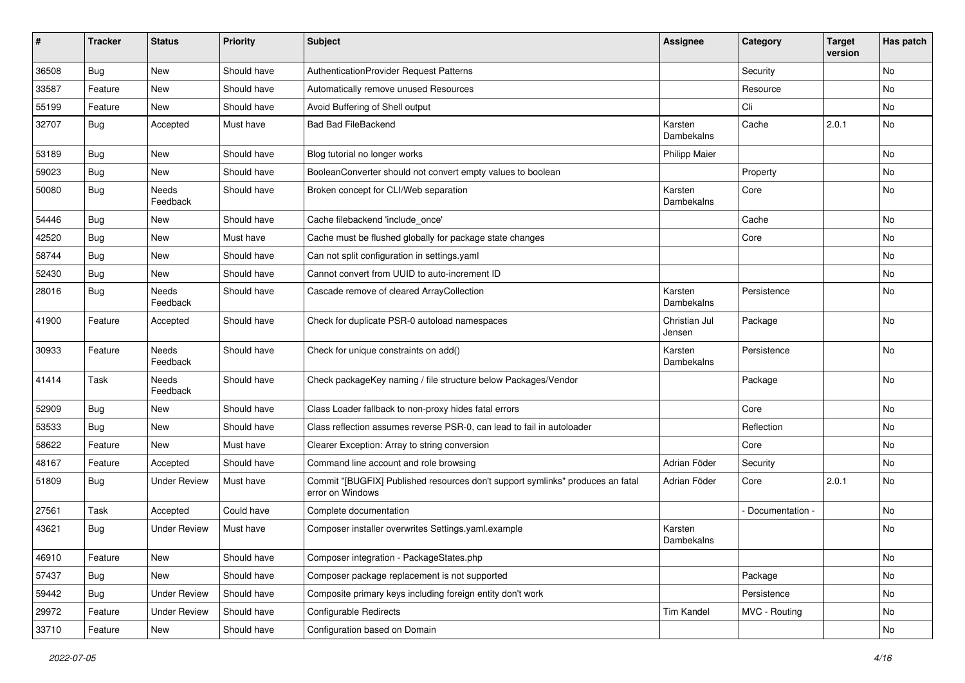| ∦     | <b>Tracker</b> | <b>Status</b>            | <b>Priority</b> | Subject                                                                                            | Assignee                | Category        | <b>Target</b><br>version | Has patch |
|-------|----------------|--------------------------|-----------------|----------------------------------------------------------------------------------------------------|-------------------------|-----------------|--------------------------|-----------|
| 36508 | Bug            | New                      | Should have     | AuthenticationProvider Request Patterns                                                            |                         | Security        |                          | No        |
| 33587 | Feature        | New                      | Should have     | Automatically remove unused Resources                                                              |                         | Resource        |                          | No        |
| 55199 | Feature        | New                      | Should have     | Avoid Buffering of Shell output                                                                    |                         | Cli             |                          | No        |
| 32707 | Bug            | Accepted                 | Must have       | <b>Bad Bad FileBackend</b>                                                                         | Karsten<br>Dambekalns   | Cache           | 2.0.1                    | <b>No</b> |
| 53189 | Bug            | <b>New</b>               | Should have     | Blog tutorial no longer works                                                                      | <b>Philipp Maier</b>    |                 |                          | <b>No</b> |
| 59023 | <b>Bug</b>     | New                      | Should have     | BooleanConverter should not convert empty values to boolean                                        |                         | Property        |                          | No        |
| 50080 | <b>Bug</b>     | Needs<br>Feedback        | Should have     | Broken concept for CLI/Web separation                                                              | Karsten<br>Dambekalns   | Core            |                          | <b>No</b> |
| 54446 | <b>Bug</b>     | New                      | Should have     | Cache filebackend 'include once'                                                                   |                         | Cache           |                          | <b>No</b> |
| 42520 | <b>Bug</b>     | New                      | Must have       | Cache must be flushed globally for package state changes                                           |                         | Core            |                          | No        |
| 58744 | <b>Bug</b>     | <b>New</b>               | Should have     | Can not split configuration in settings.yaml                                                       |                         |                 |                          | No        |
| 52430 | <b>Bug</b>     | New                      | Should have     | Cannot convert from UUID to auto-increment ID                                                      |                         |                 |                          | No        |
| 28016 | Bug            | <b>Needs</b><br>Feedback | Should have     | Cascade remove of cleared ArrayCollection                                                          | Karsten<br>Dambekalns   | Persistence     |                          | <b>No</b> |
| 41900 | Feature        | Accepted                 | Should have     | Check for duplicate PSR-0 autoload namespaces                                                      | Christian Jul<br>Jensen | Package         |                          | <b>No</b> |
| 30933 | Feature        | Needs<br>Feedback        | Should have     | Check for unique constraints on add()                                                              | Karsten<br>Dambekalns   | Persistence     |                          | <b>No</b> |
| 41414 | Task           | Needs<br>Feedback        | Should have     | Check packageKey naming / file structure below Packages/Vendor                                     |                         | Package         |                          | <b>No</b> |
| 52909 | <b>Bug</b>     | New                      | Should have     | Class Loader fallback to non-proxy hides fatal errors                                              |                         | Core            |                          | No        |
| 53533 | Bug            | New                      | Should have     | Class reflection assumes reverse PSR-0, can lead to fail in autoloader                             |                         | Reflection      |                          | No        |
| 58622 | Feature        | New                      | Must have       | Clearer Exception: Array to string conversion                                                      |                         | Core            |                          | No        |
| 48167 | Feature        | Accepted                 | Should have     | Command line account and role browsing                                                             | Adrian Föder            | Security        |                          | No        |
| 51809 | <b>Bug</b>     | <b>Under Review</b>      | Must have       | Commit "[BUGFIX] Published resources don't support symlinks" produces an fatal<br>error on Windows | Adrian Föder            | Core            | 2.0.1                    | No        |
| 27561 | Task           | Accepted                 | Could have      | Complete documentation                                                                             |                         | Documentation - |                          | <b>No</b> |
| 43621 | Bug            | <b>Under Review</b>      | Must have       | Composer installer overwrites Settings.yaml.example                                                | Karsten<br>Dambekalns   |                 |                          | No        |
| 46910 | Feature        | New                      | Should have     | Composer integration - PackageStates.php                                                           |                         |                 |                          | No        |
| 57437 | Bug            | New                      | Should have     | Composer package replacement is not supported                                                      |                         | Package         |                          | No        |
| 59442 | <b>Bug</b>     | <b>Under Review</b>      | Should have     | Composite primary keys including foreign entity don't work                                         |                         | Persistence     |                          | No        |
| 29972 | Feature        | <b>Under Review</b>      | Should have     | Configurable Redirects                                                                             | Tim Kandel              | MVC - Routing   |                          | No        |
| 33710 | Feature        | New                      | Should have     | Configuration based on Domain                                                                      |                         |                 |                          | No        |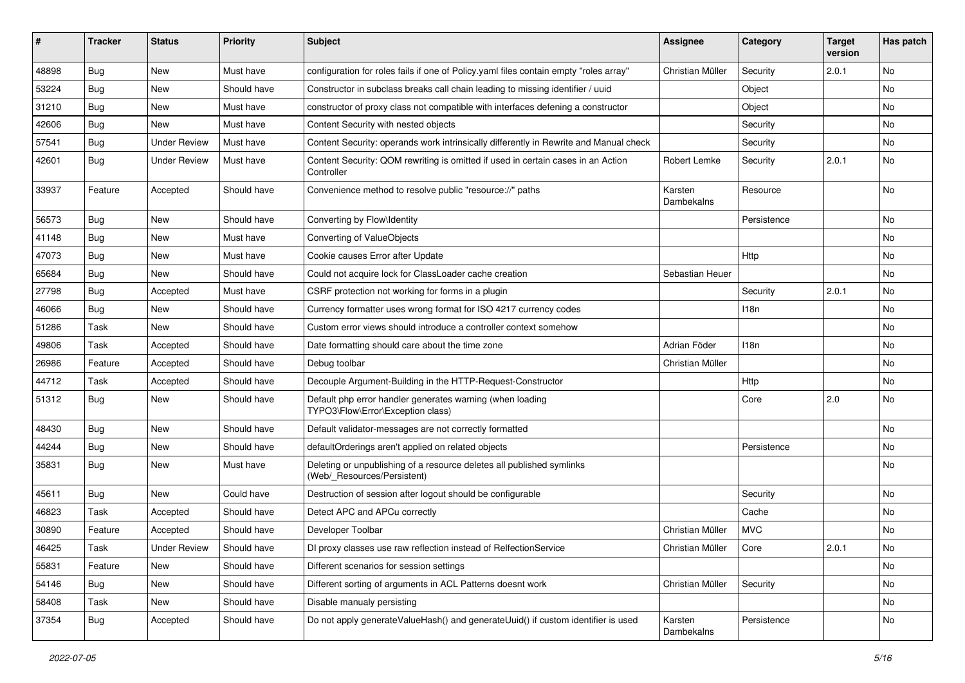| #     | <b>Tracker</b> | <b>Status</b>       | <b>Priority</b> | <b>Subject</b>                                                                                       | <b>Assignee</b>       | Category    | <b>Target</b><br>version | Has patch |
|-------|----------------|---------------------|-----------------|------------------------------------------------------------------------------------------------------|-----------------------|-------------|--------------------------|-----------|
| 48898 | Bug            | New                 | Must have       | configuration for roles fails if one of Policy yaml files contain empty "roles array"                | Christian Müller      | Security    | 2.0.1                    | <b>No</b> |
| 53224 | Bug            | New                 | Should have     | Constructor in subclass breaks call chain leading to missing identifier / uuid                       |                       | Object      |                          | No        |
| 31210 | Bug            | New                 | Must have       | constructor of proxy class not compatible with interfaces defening a constructor                     |                       | Object      |                          | No        |
| 42606 | Bug            | New                 | Must have       | Content Security with nested objects                                                                 |                       | Security    |                          | No        |
| 57541 | <b>Bug</b>     | <b>Under Review</b> | Must have       | Content Security: operands work intrinsically differently in Rewrite and Manual check                |                       | Security    |                          | No        |
| 42601 | <b>Bug</b>     | <b>Under Review</b> | Must have       | Content Security: QOM rewriting is omitted if used in certain cases in an Action<br>Controller       | Robert Lemke          | Security    | 2.0.1                    | <b>No</b> |
| 33937 | Feature        | Accepted            | Should have     | Convenience method to resolve public "resource://" paths                                             | Karsten<br>Dambekalns | Resource    |                          | <b>No</b> |
| 56573 | Bug            | New                 | Should have     | Converting by Flow\Identity                                                                          |                       | Persistence |                          | No        |
| 41148 | Bug            | New                 | Must have       | Converting of ValueObjects                                                                           |                       |             |                          | No        |
| 47073 | Bug            | New                 | Must have       | Cookie causes Error after Update                                                                     |                       | Http        |                          | No        |
| 65684 | Bug            | New                 | Should have     | Could not acquire lock for ClassLoader cache creation                                                | Sebastian Heuer       |             |                          | No        |
| 27798 | Bug            | Accepted            | Must have       | CSRF protection not working for forms in a plugin                                                    |                       | Security    | 2.0.1                    | No        |
| 46066 | <b>Bug</b>     | New                 | Should have     | Currency formatter uses wrong format for ISO 4217 currency codes                                     |                       | 118n        |                          | No        |
| 51286 | Task           | New                 | Should have     | Custom error views should introduce a controller context somehow                                     |                       |             |                          | No        |
| 49806 | Task           | Accepted            | Should have     | Date formatting should care about the time zone                                                      | Adrian Föder          | 118n        |                          | No        |
| 26986 | Feature        | Accepted            | Should have     | Debug toolbar                                                                                        | Christian Müller      |             |                          | No        |
| 44712 | Task           | Accepted            | Should have     | Decouple Argument-Building in the HTTP-Request-Constructor                                           |                       | Http        |                          | No        |
| 51312 | <b>Bug</b>     | New                 | Should have     | Default php error handler generates warning (when loading<br>TYPO3\Flow\Error\Exception class)       |                       | Core        | 2.0                      | No        |
| 48430 | <b>Bug</b>     | New                 | Should have     | Default validator-messages are not correctly formatted                                               |                       |             |                          | <b>No</b> |
| 44244 | Bug            | New                 | Should have     | defaultOrderings aren't applied on related objects                                                   |                       | Persistence |                          | No        |
| 35831 | <b>Bug</b>     | New                 | Must have       | Deleting or unpublishing of a resource deletes all published symlinks<br>(Web/ Resources/Persistent) |                       |             |                          | No        |
| 45611 | <b>Bug</b>     | <b>New</b>          | Could have      | Destruction of session after logout should be configurable                                           |                       | Security    |                          | <b>No</b> |
| 46823 | Task           | Accepted            | Should have     | Detect APC and APCu correctly                                                                        |                       | Cache       |                          | No        |
| 30890 | Feature        | Accepted            | Should have     | Developer Toolbar                                                                                    | Christian Müller      | <b>MVC</b>  |                          | No        |
| 46425 | Task           | <b>Under Review</b> | Should have     | DI proxy classes use raw reflection instead of RelfectionService                                     | Christian Müller      | Core        | 2.0.1                    | No.       |
| 55831 | Feature        | New                 | Should have     | Different scenarios for session settings                                                             |                       |             |                          | No        |
| 54146 | <b>Bug</b>     | New                 | Should have     | Different sorting of arguments in ACL Patterns doesnt work                                           | Christian Müller      | Security    |                          | No        |
| 58408 | Task           | New                 | Should have     | Disable manualy persisting                                                                           |                       |             |                          | No        |
| 37354 | <b>Bug</b>     | Accepted            | Should have     | Do not apply generateValueHash() and generateUuid() if custom identifier is used                     | Karsten<br>Dambekalns | Persistence |                          | No        |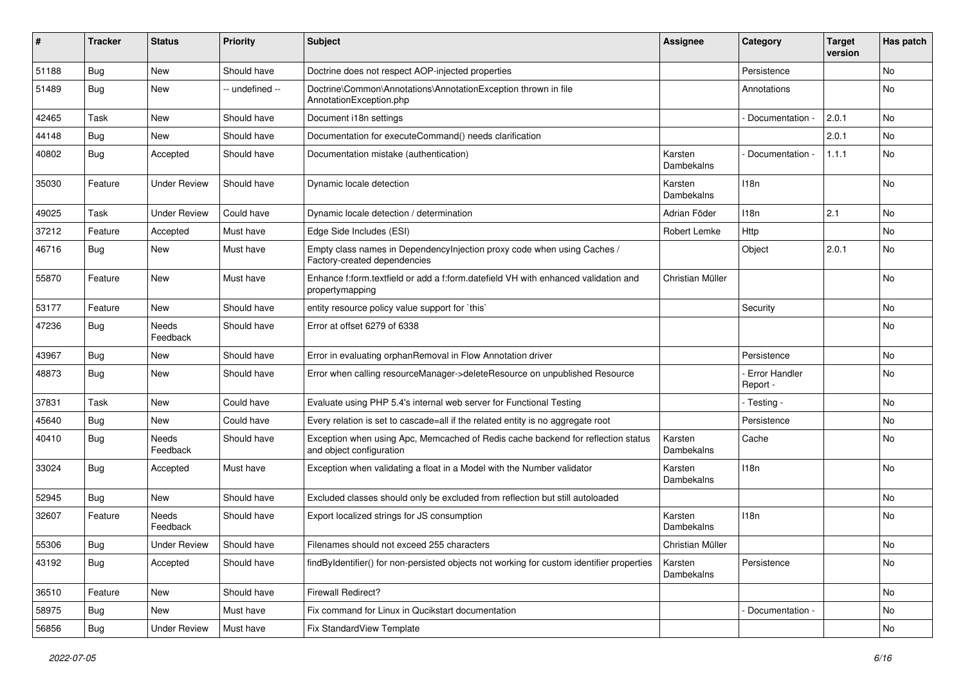| #     | <b>Tracker</b> | <b>Status</b>       | <b>Priority</b> | <b>Subject</b>                                                                                               | <b>Assignee</b>       | Category                    | <b>Target</b><br>version | Has patch |
|-------|----------------|---------------------|-----------------|--------------------------------------------------------------------------------------------------------------|-----------------------|-----------------------------|--------------------------|-----------|
| 51188 | Bug            | <b>New</b>          | Should have     | Doctrine does not respect AOP-injected properties                                                            |                       | Persistence                 |                          | <b>No</b> |
| 51489 | Bug            | New                 | - undefined --  | Doctrine\Common\Annotations\AnnotationException thrown in file<br>AnnotationException.php                    |                       | Annotations                 |                          | No        |
| 42465 | Task           | <b>New</b>          | Should have     | Document i18n settings                                                                                       |                       | Documentation               | 2.0.1                    | <b>No</b> |
| 44148 | Bug            | New                 | Should have     | Documentation for executeCommand() needs clarification                                                       |                       |                             | 2.0.1                    | No        |
| 40802 | Bug            | Accepted            | Should have     | Documentation mistake (authentication)                                                                       | Karsten<br>Dambekalns | Documentation -             | 1.1.1                    | No        |
| 35030 | Feature        | <b>Under Review</b> | Should have     | Dynamic locale detection                                                                                     | Karsten<br>Dambekalns | 118n                        |                          | <b>No</b> |
| 49025 | Task           | <b>Under Review</b> | Could have      | Dynamic locale detection / determination                                                                     | Adrian Föder          | 118 <sub>n</sub>            | 2.1                      | <b>No</b> |
| 37212 | Feature        | Accepted            | Must have       | Edge Side Includes (ESI)                                                                                     | Robert Lemke          | Http                        |                          | No        |
| 46716 | Bug            | <b>New</b>          | Must have       | Empty class names in DependencyInjection proxy code when using Caches /<br>Factory-created dependencies      |                       | Object                      | 2.0.1                    | No        |
| 55870 | Feature        | <b>New</b>          | Must have       | Enhance f:form.textfield or add a f:form.datefield VH with enhanced validation and<br>propertymapping        | Christian Müller      |                             |                          | <b>No</b> |
| 53177 | Feature        | New                 | Should have     | entity resource policy value support for `this`                                                              |                       | Security                    |                          | <b>No</b> |
| 47236 | Bug            | Needs<br>Feedback   | Should have     | Error at offset 6279 of 6338                                                                                 |                       |                             |                          | No        |
| 43967 | Bug            | New                 | Should have     | Error in evaluating orphanRemoval in Flow Annotation driver                                                  |                       | Persistence                 |                          | No        |
| 48873 | Bug            | New                 | Should have     | Error when calling resourceManager->deleteResource on unpublished Resource                                   |                       | - Error Handler<br>Report - |                          | No        |
| 37831 | Task           | <b>New</b>          | Could have      | Evaluate using PHP 5.4's internal web server for Functional Testing                                          |                       | - Testing -                 |                          | <b>No</b> |
| 45640 | Bug            | New                 | Could have      | Every relation is set to cascade=all if the related entity is no aggregate root                              |                       | Persistence                 |                          | No        |
| 40410 | <b>Bug</b>     | Needs<br>Feedback   | Should have     | Exception when using Apc, Memcached of Redis cache backend for reflection status<br>and object configuration | Karsten<br>Dambekalns | Cache                       |                          | No        |
| 33024 | Bug            | Accepted            | Must have       | Exception when validating a float in a Model with the Number validator                                       | Karsten<br>Dambekalns | 118n                        |                          | No        |
| 52945 | Bug            | New                 | Should have     | Excluded classes should only be excluded from reflection but still autoloaded                                |                       |                             |                          | No        |
| 32607 | Feature        | Needs<br>Feedback   | Should have     | Export localized strings for JS consumption                                                                  | Karsten<br>Dambekalns | 118n                        |                          | No        |
| 55306 | Bug            | <b>Under Review</b> | Should have     | Filenames should not exceed 255 characters                                                                   | Christian Müller      |                             |                          | No        |
| 43192 | Bug            | Accepted            | Should have     | findByIdentifier() for non-persisted objects not working for custom identifier properties                    | Karsten<br>Dambekalns | Persistence                 |                          | No        |
| 36510 | Feature        | New                 | Should have     | <b>Firewall Redirect?</b>                                                                                    |                       |                             |                          | No        |
| 58975 | <b>Bug</b>     | New                 | Must have       | Fix command for Linux in Qucikstart documentation                                                            |                       | Documentation -             |                          | No        |
| 56856 | <b>Bug</b>     | <b>Under Review</b> | Must have       | Fix StandardView Template                                                                                    |                       |                             |                          | No        |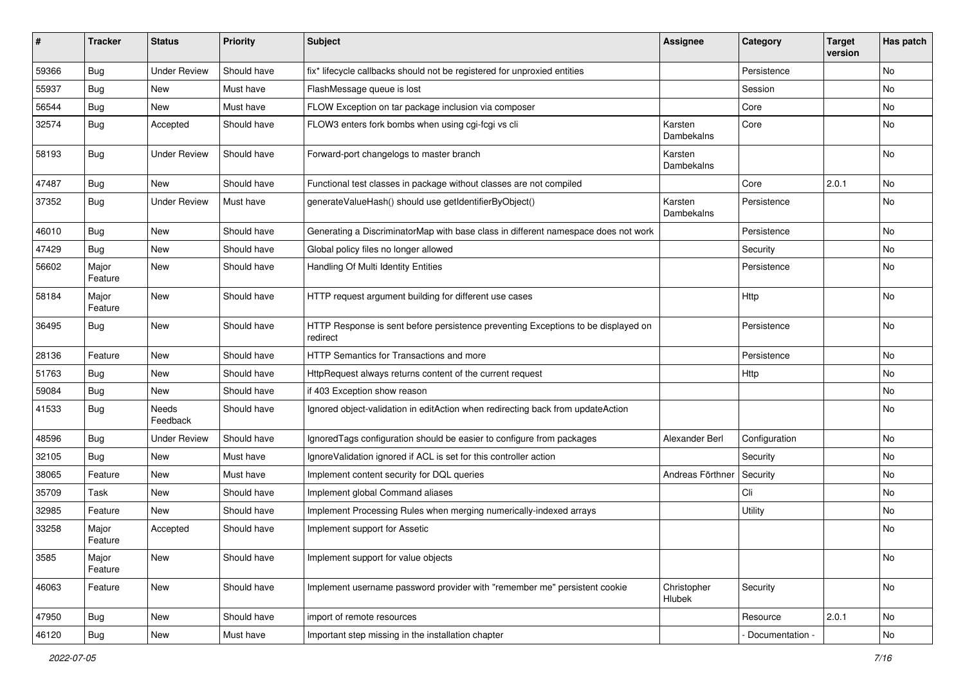| #     | <b>Tracker</b>   | <b>Status</b>       | <b>Priority</b> | <b>Subject</b>                                                                                | Assignee              | Category          | <b>Target</b><br>version | Has patch |
|-------|------------------|---------------------|-----------------|-----------------------------------------------------------------------------------------------|-----------------------|-------------------|--------------------------|-----------|
| 59366 | Bug              | <b>Under Review</b> | Should have     | fix* lifecycle callbacks should not be registered for unproxied entities                      |                       | Persistence       |                          | No        |
| 55937 | Bug              | New                 | Must have       | FlashMessage queue is lost                                                                    |                       | Session           |                          | No        |
| 56544 | <b>Bug</b>       | New                 | Must have       | FLOW Exception on tar package inclusion via composer                                          |                       | Core              |                          | No        |
| 32574 | <b>Bug</b>       | Accepted            | Should have     | FLOW3 enters fork bombs when using cgi-fcgi vs cli                                            | Karsten<br>Dambekalns | Core              |                          | No        |
| 58193 | <b>Bug</b>       | <b>Under Review</b> | Should have     | Forward-port changelogs to master branch                                                      | Karsten<br>Dambekalns |                   |                          | No        |
| 47487 | <b>Bug</b>       | New                 | Should have     | Functional test classes in package without classes are not compiled                           |                       | Core              | 2.0.1                    | No        |
| 37352 | <b>Bug</b>       | <b>Under Review</b> | Must have       | generateValueHash() should use getIdentifierByObject()                                        | Karsten<br>Dambekalns | Persistence       |                          | No        |
| 46010 | <b>Bug</b>       | <b>New</b>          | Should have     | Generating a DiscriminatorMap with base class in different namespace does not work            |                       | Persistence       |                          | No        |
| 47429 | <b>Bug</b>       | <b>New</b>          | Should have     | Global policy files no longer allowed                                                         |                       | Security          |                          | No        |
| 56602 | Major<br>Feature | New                 | Should have     | Handling Of Multi Identity Entities                                                           |                       | Persistence       |                          | No        |
| 58184 | Major<br>Feature | <b>New</b>          | Should have     | HTTP request argument building for different use cases                                        |                       | Http              |                          | No        |
| 36495 | <b>Bug</b>       | <b>New</b>          | Should have     | HTTP Response is sent before persistence preventing Exceptions to be displayed on<br>redirect |                       | Persistence       |                          | <b>No</b> |
| 28136 | Feature          | <b>New</b>          | Should have     | HTTP Semantics for Transactions and more                                                      |                       | Persistence       |                          | <b>No</b> |
| 51763 | Bug              | New                 | Should have     | HttpRequest always returns content of the current request                                     |                       | Http              |                          | No        |
| 59084 | <b>Bug</b>       | New                 | Should have     | if 403 Exception show reason                                                                  |                       |                   |                          | No        |
| 41533 | <b>Bug</b>       | Needs<br>Feedback   | Should have     | Ignored object-validation in editAction when redirecting back from updateAction               |                       |                   |                          | No        |
| 48596 | Bug              | <b>Under Review</b> | Should have     | Ignored Tags configuration should be easier to configure from packages                        | Alexander Berl        | Configuration     |                          | No        |
| 32105 | <b>Bug</b>       | New                 | Must have       | IgnoreValidation ignored if ACL is set for this controller action                             |                       | Security          |                          | No.       |
| 38065 | Feature          | New                 | Must have       | Implement content security for DQL queries                                                    | Andreas Förthner      | Security          |                          | No        |
| 35709 | Task             | New                 | Should have     | Implement global Command aliases                                                              |                       | Cli               |                          | No        |
| 32985 | Feature          | New                 | Should have     | Implement Processing Rules when merging numerically-indexed arrays                            |                       | Utility           |                          | No        |
| 33258 | Major<br>Feature | Accepted            | Should have     | Implement support for Assetic                                                                 |                       |                   |                          | No        |
| 3585  | Major<br>Feature | New                 | Should have     | Implement support for value objects                                                           |                       |                   |                          | No        |
| 46063 | Feature          | New                 | Should have     | Implement username password provider with "remember me" persistent cookie                     | Christopher<br>Hlubek | Security          |                          | No        |
| 47950 | <b>Bug</b>       | New                 | Should have     | import of remote resources                                                                    |                       | Resource          | 2.0.1                    | No        |
| 46120 | Bug              | New                 | Must have       | Important step missing in the installation chapter                                            |                       | - Documentation - |                          | No        |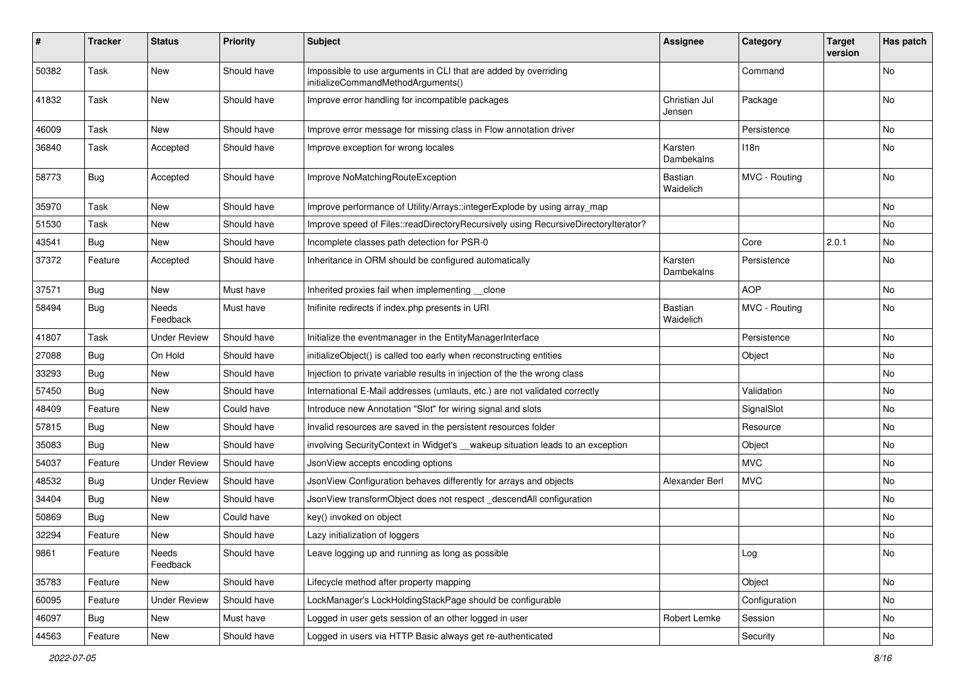| #     | <b>Tracker</b> | <b>Status</b>       | <b>Priority</b> | <b>Subject</b>                                                                                        | Assignee                | Category      | <b>Target</b><br>version | Has patch |
|-------|----------------|---------------------|-----------------|-------------------------------------------------------------------------------------------------------|-------------------------|---------------|--------------------------|-----------|
| 50382 | Task           | New                 | Should have     | Impossible to use arguments in CLI that are added by overriding<br>initializeCommandMethodArguments() |                         | Command       |                          | No        |
| 41832 | Task           | New                 | Should have     | Improve error handling for incompatible packages                                                      | Christian Jul<br>Jensen | Package       |                          | <b>No</b> |
| 46009 | Task           | New                 | Should have     | Improve error message for missing class in Flow annotation driver                                     |                         | Persistence   |                          | No        |
| 36840 | Task           | Accepted            | Should have     | Improve exception for wrong locales                                                                   | Karsten<br>Dambekalns   | 118n          |                          | No        |
| 58773 | Bug            | Accepted            | Should have     | Improve NoMatchingRouteException                                                                      | Bastian<br>Waidelich    | MVC - Routing |                          | No        |
| 35970 | Task           | New                 | Should have     | Improve performance of Utility/Arrays::integerExplode by using array_map                              |                         |               |                          | No        |
| 51530 | Task           | New                 | Should have     | Improve speed of Files::readDirectoryRecursively using RecursiveDirectoryIterator?                    |                         |               |                          | No        |
| 43541 | Bug            | New                 | Should have     | Incomplete classes path detection for PSR-0                                                           |                         | Core          | 2.0.1                    | No        |
| 37372 | Feature        | Accepted            | Should have     | Inheritance in ORM should be configured automatically                                                 | Karsten<br>Dambekalns   | Persistence   |                          | <b>No</b> |
| 37571 | Bug            | <b>New</b>          | Must have       | Inherited proxies fail when implementing __clone                                                      |                         | <b>AOP</b>    |                          | <b>No</b> |
| 58494 | <b>Bug</b>     | Needs<br>Feedback   | Must have       | Inifinite redirects if index.php presents in URI                                                      | Bastian<br>Waidelich    | MVC - Routing |                          | No        |
| 41807 | Task           | <b>Under Review</b> | Should have     | Initialize the eventmanager in the EntityManagerInterface                                             |                         | Persistence   |                          | No        |
| 27088 | Bug            | On Hold             | Should have     | initializeObject() is called too early when reconstructing entities                                   |                         | Object        |                          | No        |
| 33293 | Bug            | New                 | Should have     | Injection to private variable results in injection of the the wrong class                             |                         |               |                          | No        |
| 57450 | <b>Bug</b>     | New                 | Should have     | International E-Mail addresses (umlauts, etc.) are not validated correctly                            |                         | Validation    |                          | No        |
| 48409 | Feature        | New                 | Could have      | Introduce new Annotation "Slot" for wiring signal and slots                                           |                         | SignalSlot    |                          | No        |
| 57815 | <b>Bug</b>     | New                 | Should have     | Invalid resources are saved in the persistent resources folder                                        |                         | Resource      |                          | No        |
| 35083 | <b>Bug</b>     | New                 | Should have     | involving SecurityContext in Widget's __wakeup situation leads to an exception                        |                         | Object        |                          | No        |
| 54037 | Feature        | <b>Under Review</b> | Should have     | JsonView accepts encoding options                                                                     |                         | <b>MVC</b>    |                          | No        |
| 48532 | Bug            | <b>Under Review</b> | Should have     | JsonView Configuration behaves differently for arrays and objects                                     | Alexander Berl          | <b>MVC</b>    |                          | No        |
| 34404 | <b>Bug</b>     | New                 | Should have     | JsonView transformObject does not respect descendAll configuration                                    |                         |               |                          | No        |
| 50869 | <b>Bug</b>     | New                 | Could have      | key() invoked on object                                                                               |                         |               |                          | No        |
| 32294 | Feature        | New                 | Should have     | Lazy initialization of loggers                                                                        |                         |               |                          | No        |
| 9861  | Feature        | Needs<br>Feedback   | Should have     | Leave logging up and running as long as possible                                                      |                         | Log           |                          | No        |
| 35783 | Feature        | New                 | Should have     | Lifecycle method after property mapping                                                               |                         | Object        |                          | No        |
| 60095 | Feature        | <b>Under Review</b> | Should have     | LockManager's LockHoldingStackPage should be configurable                                             |                         | Configuration |                          | No        |
| 46097 | Bug            | New                 | Must have       | Logged in user gets session of an other logged in user                                                | Robert Lemke            | Session       |                          | No        |
| 44563 | Feature        | New                 | Should have     | Logged in users via HTTP Basic always get re-authenticated                                            |                         | Security      |                          | No        |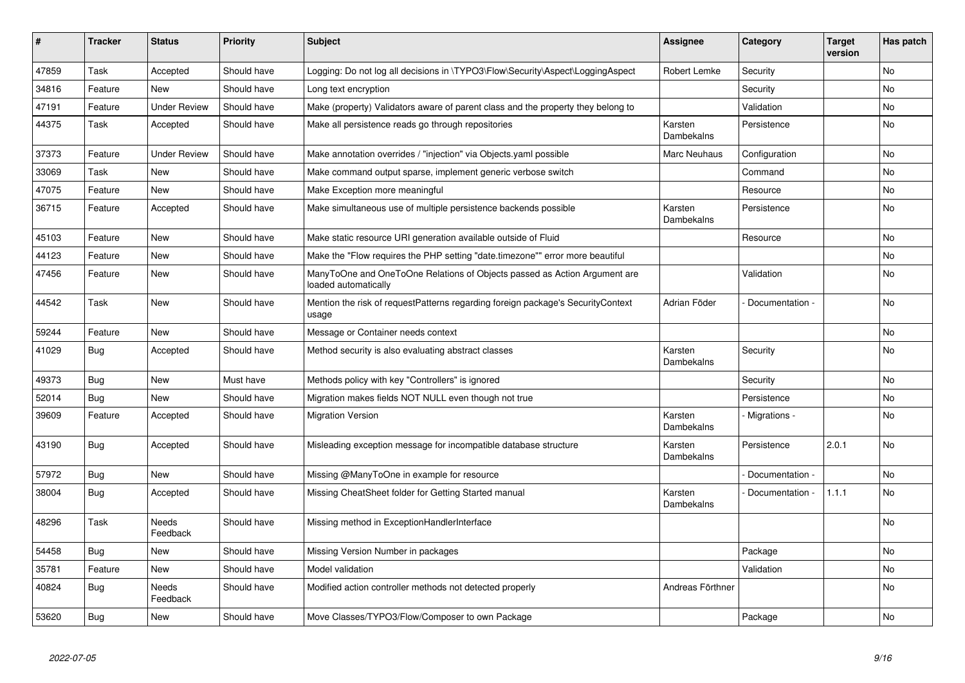| $\vert$ # | <b>Tracker</b> | <b>Status</b>            | <b>Priority</b> | <b>Subject</b>                                                                                    | <b>Assignee</b>       | Category        | <b>Target</b><br>version | Has patch |
|-----------|----------------|--------------------------|-----------------|---------------------------------------------------------------------------------------------------|-----------------------|-----------------|--------------------------|-----------|
| 47859     | Task           | Accepted                 | Should have     | Logging: Do not log all decisions in \TYPO3\Flow\Security\Aspect\LoggingAspect                    | Robert Lemke          | Security        |                          | <b>No</b> |
| 34816     | Feature        | <b>New</b>               | Should have     | Long text encryption                                                                              |                       | Security        |                          | No        |
| 47191     | Feature        | <b>Under Review</b>      | Should have     | Make (property) Validators aware of parent class and the property they belong to                  |                       | Validation      |                          | No        |
| 44375     | Task           | Accepted                 | Should have     | Make all persistence reads go through repositories                                                | Karsten<br>Dambekalns | Persistence     |                          | No        |
| 37373     | Feature        | <b>Under Review</b>      | Should have     | Make annotation overrides / "injection" via Objects.yaml possible                                 | Marc Neuhaus          | Configuration   |                          | No        |
| 33069     | Task           | <b>New</b>               | Should have     | Make command output sparse, implement generic verbose switch                                      |                       | Command         |                          | <b>No</b> |
| 47075     | Feature        | <b>New</b>               | Should have     | Make Exception more meaningful                                                                    |                       | Resource        |                          | No        |
| 36715     | Feature        | Accepted                 | Should have     | Make simultaneous use of multiple persistence backends possible                                   | Karsten<br>Dambekalns | Persistence     |                          | No        |
| 45103     | Feature        | <b>New</b>               | Should have     | Make static resource URI generation available outside of Fluid                                    |                       | Resource        |                          | No        |
| 44123     | Feature        | <b>New</b>               | Should have     | Make the "Flow requires the PHP setting "date.timezone"" error more beautiful                     |                       |                 |                          | No        |
| 47456     | Feature        | <b>New</b>               | Should have     | ManyToOne and OneToOne Relations of Objects passed as Action Argument are<br>loaded automatically |                       | Validation      |                          | No        |
| 44542     | Task           | New                      | Should have     | Mention the risk of requestPatterns regarding foreign package's SecurityContext<br>usage          | Adrian Föder          | Documentation - |                          | No        |
| 59244     | Feature        | <b>New</b>               | Should have     | Message or Container needs context                                                                |                       |                 |                          | <b>No</b> |
| 41029     | <b>Bug</b>     | Accepted                 | Should have     | Method security is also evaluating abstract classes                                               | Karsten<br>Dambekalns | Security        |                          | No        |
| 49373     | Bug            | <b>New</b>               | Must have       | Methods policy with key "Controllers" is ignored                                                  |                       | Security        |                          | <b>No</b> |
| 52014     | <b>Bug</b>     | New                      | Should have     | Migration makes fields NOT NULL even though not true                                              |                       | Persistence     |                          | No        |
| 39609     | Feature        | Accepted                 | Should have     | <b>Migration Version</b>                                                                          | Karsten<br>Dambekalns | Migrations -    |                          | No        |
| 43190     | Bug            | Accepted                 | Should have     | Misleading exception message for incompatible database structure                                  | Karsten<br>Dambekalns | Persistence     | 2.0.1                    | <b>No</b> |
| 57972     | <b>Bug</b>     | <b>New</b>               | Should have     | Missing @ManyToOne in example for resource                                                        |                       | Documentation - |                          | <b>No</b> |
| 38004     | <b>Bug</b>     | Accepted                 | Should have     | Missing CheatSheet folder for Getting Started manual                                              | Karsten<br>Dambekalns | Documentation - | 1.1.1                    | <b>No</b> |
| 48296     | Task           | <b>Needs</b><br>Feedback | Should have     | Missing method in ExceptionHandlerInterface                                                       |                       |                 |                          | No        |
| 54458     | Bug            | <b>New</b>               | Should have     | Missing Version Number in packages                                                                |                       | Package         |                          | No        |
| 35781     | Feature        | <b>New</b>               | Should have     | Model validation                                                                                  |                       | Validation      |                          | <b>No</b> |
| 40824     | Bug            | Needs<br>Feedback        | Should have     | Modified action controller methods not detected properly                                          | Andreas Förthner      |                 |                          | <b>No</b> |
| 53620     | Bug            | <b>New</b>               | Should have     | Move Classes/TYPO3/Flow/Composer to own Package                                                   |                       | Package         |                          | <b>No</b> |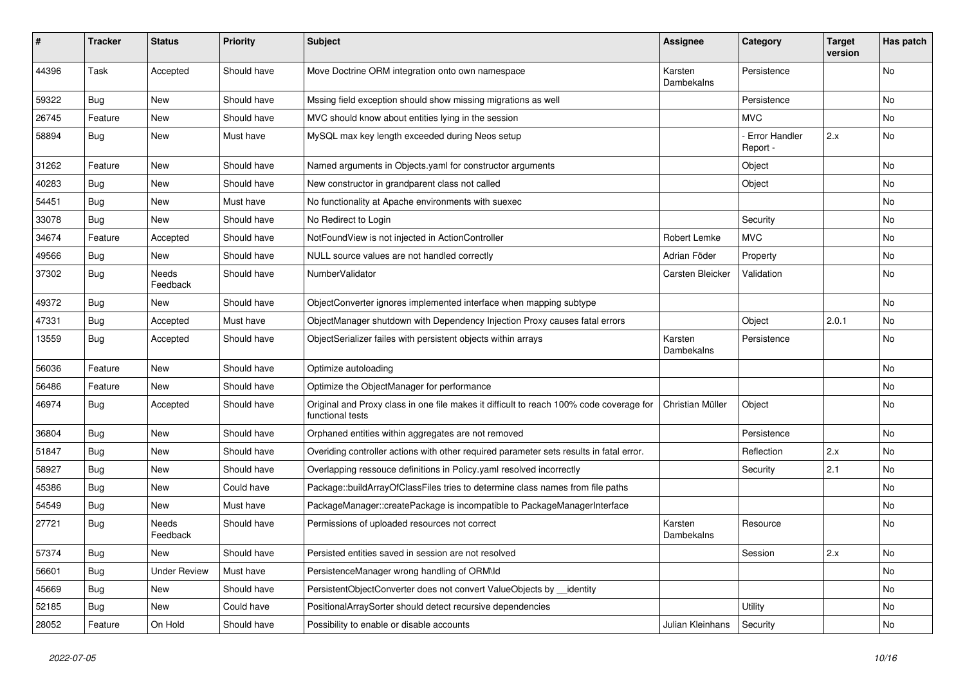| ∦     | <b>Tracker</b> | <b>Status</b>            | <b>Priority</b> | <b>Subject</b>                                                                                              | <b>Assignee</b>       | Category                         | <b>Target</b><br>version | Has patch |
|-------|----------------|--------------------------|-----------------|-------------------------------------------------------------------------------------------------------------|-----------------------|----------------------------------|--------------------------|-----------|
| 44396 | Task           | Accepted                 | Should have     | Move Doctrine ORM integration onto own namespace                                                            | Karsten<br>Dambekalns | Persistence                      |                          | <b>No</b> |
| 59322 | <b>Bug</b>     | New                      | Should have     | Mssing field exception should show missing migrations as well                                               |                       | Persistence                      |                          | No        |
| 26745 | Feature        | <b>New</b>               | Should have     | MVC should know about entities lying in the session                                                         |                       | <b>MVC</b>                       |                          | <b>No</b> |
| 58894 | Bug            | New                      | Must have       | MySQL max key length exceeded during Neos setup                                                             |                       | <b>Error Handler</b><br>Report - | 2.x                      | No        |
| 31262 | Feature        | New                      | Should have     | Named arguments in Objects.yaml for constructor arguments                                                   |                       | Object                           |                          | No        |
| 40283 | <b>Bug</b>     | New                      | Should have     | New constructor in grandparent class not called                                                             |                       | Object                           |                          | No        |
| 54451 | Bug            | New                      | Must have       | No functionality at Apache environments with suexec                                                         |                       |                                  |                          | No        |
| 33078 | <b>Bug</b>     | New                      | Should have     | No Redirect to Login                                                                                        |                       | Security                         |                          | No        |
| 34674 | Feature        | Accepted                 | Should have     | NotFoundView is not injected in ActionController                                                            | <b>Robert Lemke</b>   | <b>MVC</b>                       |                          | No        |
| 49566 | Bug            | <b>New</b>               | Should have     | NULL source values are not handled correctly                                                                | Adrian Föder          | Property                         |                          | No        |
| 37302 | Bug            | Needs<br>Feedback        | Should have     | NumberValidator                                                                                             | Carsten Bleicker      | Validation                       |                          | No        |
| 49372 | Bug            | New                      | Should have     | ObjectConverter ignores implemented interface when mapping subtype                                          |                       |                                  |                          | No        |
| 47331 | <b>Bug</b>     | Accepted                 | Must have       | ObjectManager shutdown with Dependency Injection Proxy causes fatal errors                                  |                       | Object                           | 2.0.1                    | No        |
| 13559 | Bug            | Accepted                 | Should have     | ObjectSerializer failes with persistent objects within arrays                                               | Karsten<br>Dambekalns | Persistence                      |                          | No        |
| 56036 | Feature        | New                      | Should have     | Optimize autoloading                                                                                        |                       |                                  |                          | No        |
| 56486 | Feature        | <b>New</b>               | Should have     | Optimize the ObjectManager for performance                                                                  |                       |                                  |                          | No        |
| 46974 | <b>Bug</b>     | Accepted                 | Should have     | Original and Proxy class in one file makes it difficult to reach 100% code coverage for<br>functional tests | Christian Müller      | Object                           |                          | No        |
| 36804 | <b>Bug</b>     | New                      | Should have     | Orphaned entities within aggregates are not removed                                                         |                       | Persistence                      |                          | No        |
| 51847 | <b>Bug</b>     | New                      | Should have     | Overiding controller actions with other required parameter sets results in fatal error.                     |                       | Reflection                       | 2.x                      | No        |
| 58927 | Bug            | New                      | Should have     | Overlapping ressouce definitions in Policy.yaml resolved incorrectly                                        |                       | Security                         | 2.1                      | No        |
| 45386 | <b>Bug</b>     | New                      | Could have      | Package::buildArrayOfClassFiles tries to determine class names from file paths                              |                       |                                  |                          | No        |
| 54549 | <b>Bug</b>     | New                      | Must have       | PackageManager::createPackage is incompatible to PackageManagerInterface                                    |                       |                                  |                          | No        |
| 27721 | Bug            | <b>Needs</b><br>Feedback | Should have     | Permissions of uploaded resources not correct                                                               | Karsten<br>Dambekalns | Resource                         |                          | No        |
| 57374 | <b>Bug</b>     | <b>New</b>               | Should have     | Persisted entities saved in session are not resolved                                                        |                       | Session                          | 2.x                      | No        |
| 56601 | <b>Bug</b>     | <b>Under Review</b>      | Must have       | PersistenceManager wrong handling of ORM\ld                                                                 |                       |                                  |                          | No        |
| 45669 | <b>Bug</b>     | New                      | Should have     | PersistentObjectConverter does not convert ValueObjects by _identity                                        |                       |                                  |                          | No        |
| 52185 | <b>Bug</b>     | New                      | Could have      | PositionalArraySorter should detect recursive dependencies                                                  |                       | <b>Utility</b>                   |                          | No        |
| 28052 | Feature        | On Hold                  | Should have     | Possibility to enable or disable accounts                                                                   | Julian Kleinhans      | Security                         |                          | No        |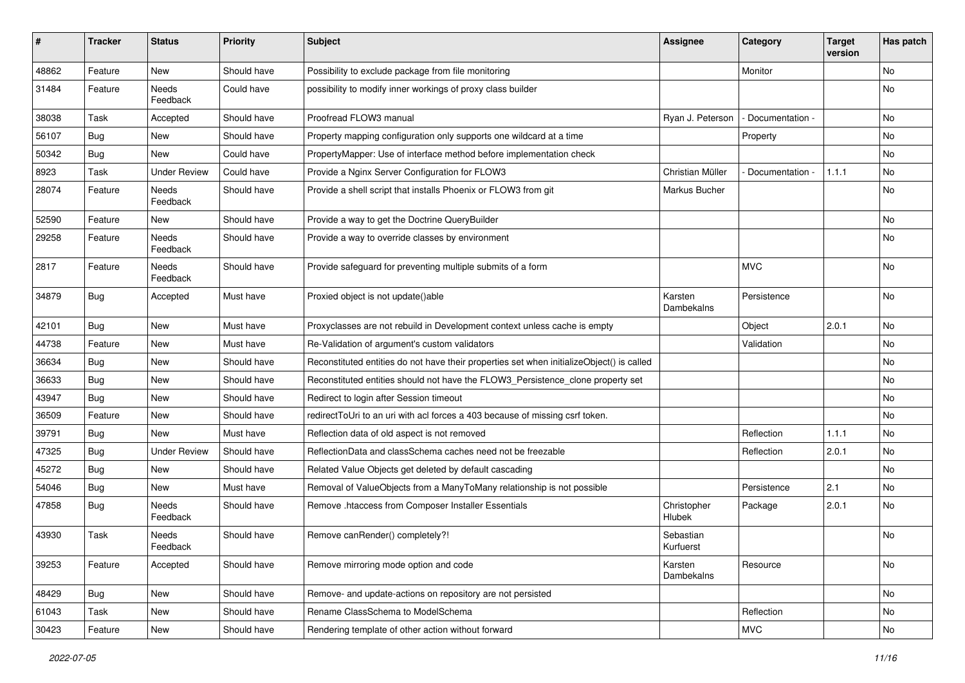| #     | <b>Tracker</b> | <b>Status</b>       | <b>Priority</b> | <b>Subject</b>                                                                            | <b>Assignee</b>        | Category          | <b>Target</b><br>version | Has patch |
|-------|----------------|---------------------|-----------------|-------------------------------------------------------------------------------------------|------------------------|-------------------|--------------------------|-----------|
| 48862 | Feature        | New                 | Should have     | Possibility to exclude package from file monitoring                                       |                        | Monitor           |                          | No        |
| 31484 | Feature        | Needs<br>Feedback   | Could have      | possibility to modify inner workings of proxy class builder                               |                        |                   |                          | No        |
| 38038 | Task           | Accepted            | Should have     | Proofread FLOW3 manual                                                                    | Ryan J. Peterson       | - Documentation - |                          | <b>No</b> |
| 56107 | Bug            | New                 | Should have     | Property mapping configuration only supports one wildcard at a time                       |                        | Property          |                          | No        |
| 50342 | <b>Bug</b>     | New                 | Could have      | PropertyMapper: Use of interface method before implementation check                       |                        |                   |                          | <b>No</b> |
| 8923  | Task           | <b>Under Review</b> | Could have      | Provide a Nginx Server Configuration for FLOW3                                            | Christian Müller       | Documentation -   | 1.1.1                    | No        |
| 28074 | Feature        | Needs<br>Feedback   | Should have     | Provide a shell script that installs Phoenix or FLOW3 from git                            | Markus Bucher          |                   |                          | No        |
| 52590 | Feature        | New                 | Should have     | Provide a way to get the Doctrine QueryBuilder                                            |                        |                   |                          | <b>No</b> |
| 29258 | Feature        | Needs<br>Feedback   | Should have     | Provide a way to override classes by environment                                          |                        |                   |                          | No        |
| 2817  | Feature        | Needs<br>Feedback   | Should have     | Provide safeguard for preventing multiple submits of a form                               |                        | <b>MVC</b>        |                          | No        |
| 34879 | Bug            | Accepted            | Must have       | Proxied object is not update()able                                                        | Karsten<br>Dambekalns  | Persistence       |                          | No        |
| 42101 | Bug            | <b>New</b>          | Must have       | Proxyclasses are not rebuild in Development context unless cache is empty                 |                        | Object            | 2.0.1                    | <b>No</b> |
| 44738 | Feature        | New                 | Must have       | Re-Validation of argument's custom validators                                             |                        | Validation        |                          | No        |
| 36634 | <b>Bug</b>     | New                 | Should have     | Reconstituted entities do not have their properties set when initializeObject() is called |                        |                   |                          | No        |
| 36633 | Bug            | New                 | Should have     | Reconstituted entities should not have the FLOW3_Persistence_clone property set           |                        |                   |                          | No        |
| 43947 | <b>Bug</b>     | New                 | Should have     | Redirect to login after Session timeout                                                   |                        |                   |                          | No        |
| 36509 | Feature        | New                 | Should have     | redirectToUri to an uri with acl forces a 403 because of missing csrf token.              |                        |                   |                          | <b>No</b> |
| 39791 | <b>Bug</b>     | New                 | Must have       | Reflection data of old aspect is not removed                                              |                        | Reflection        | 1.1.1                    | No        |
| 47325 | <b>Bug</b>     | <b>Under Review</b> | Should have     | ReflectionData and classSchema caches need not be freezable                               |                        | Reflection        | 2.0.1                    | No        |
| 45272 | Bug            | New                 | Should have     | Related Value Objects get deleted by default cascading                                    |                        |                   |                          | No        |
| 54046 | <b>Bug</b>     | New                 | Must have       | Removal of ValueObjects from a ManyToMany relationship is not possible                    |                        | Persistence       | 2.1                      | No        |
| 47858 | <b>Bug</b>     | Needs<br>Feedback   | Should have     | Remove .htaccess from Composer Installer Essentials                                       | Christopher<br>Hlubek  | Package           | 2.0.1                    | No        |
| 43930 | Task           | Needs<br>Feedback   | Should have     | Remove canRender() completely?!                                                           | Sebastian<br>Kurfuerst |                   |                          | No        |
| 39253 | Feature        | Accepted            | Should have     | Remove mirroring mode option and code                                                     | Karsten<br>Dambekalns  | Resource          |                          | No        |
| 48429 | <b>Bug</b>     | New                 | Should have     | Remove- and update-actions on repository are not persisted                                |                        |                   |                          | No        |
| 61043 | Task           | New                 | Should have     | Rename ClassSchema to ModelSchema                                                         |                        | Reflection        |                          | No        |
| 30423 | Feature        | New                 | Should have     | Rendering template of other action without forward                                        |                        | <b>MVC</b>        |                          | No        |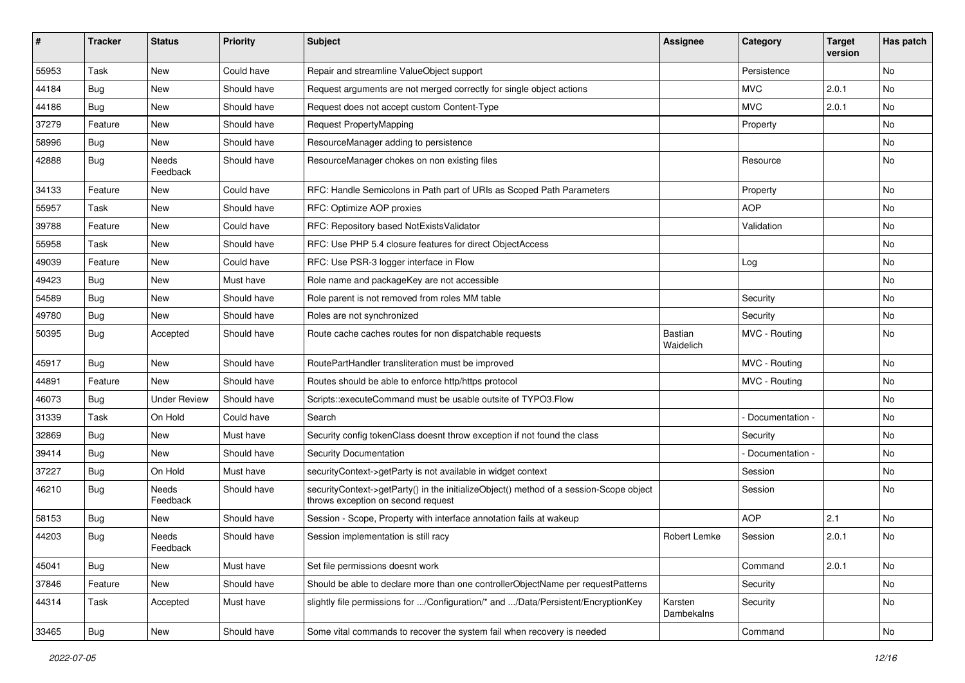| #     | <b>Tracker</b> | <b>Status</b>       | <b>Priority</b> | Subject                                                                                                                      | <b>Assignee</b>             | Category        | <b>Target</b><br>version | Has patch |
|-------|----------------|---------------------|-----------------|------------------------------------------------------------------------------------------------------------------------------|-----------------------------|-----------------|--------------------------|-----------|
| 55953 | Task           | New                 | Could have      | Repair and streamline ValueObject support                                                                                    |                             | Persistence     |                          | No        |
| 44184 | <b>Bug</b>     | New                 | Should have     | Request arguments are not merged correctly for single object actions                                                         |                             | <b>MVC</b>      | 2.0.1                    | <b>No</b> |
| 44186 | Bug            | New                 | Should have     | Request does not accept custom Content-Type                                                                                  |                             | <b>MVC</b>      | 2.0.1                    | No        |
| 37279 | Feature        | New                 | Should have     | Request PropertyMapping                                                                                                      |                             | Property        |                          | No        |
| 58996 | <b>Bug</b>     | New                 | Should have     | ResourceManager adding to persistence                                                                                        |                             |                 |                          | No        |
| 42888 | <b>Bug</b>     | Needs<br>Feedback   | Should have     | ResourceManager chokes on non existing files                                                                                 |                             | Resource        |                          | No        |
| 34133 | Feature        | New                 | Could have      | RFC: Handle Semicolons in Path part of URIs as Scoped Path Parameters                                                        |                             | Property        |                          | <b>No</b> |
| 55957 | Task           | New                 | Should have     | RFC: Optimize AOP proxies                                                                                                    |                             | <b>AOP</b>      |                          | No        |
| 39788 | Feature        | New                 | Could have      | RFC: Repository based NotExistsValidator                                                                                     |                             | Validation      |                          | No        |
| 55958 | Task           | New                 | Should have     | RFC: Use PHP 5.4 closure features for direct ObjectAccess                                                                    |                             |                 |                          | <b>No</b> |
| 49039 | Feature        | New                 | Could have      | RFC: Use PSR-3 logger interface in Flow                                                                                      |                             | Log             |                          | No        |
| 49423 | <b>Bug</b>     | New                 | Must have       | Role name and packageKey are not accessible                                                                                  |                             |                 |                          | No        |
| 54589 | <b>Bug</b>     | New                 | Should have     | Role parent is not removed from roles MM table                                                                               |                             | Security        |                          | No        |
| 49780 | <b>Bug</b>     | New                 | Should have     | Roles are not synchronized                                                                                                   |                             | Security        |                          | No        |
| 50395 | Bug            | Accepted            | Should have     | Route cache caches routes for non dispatchable requests                                                                      | <b>Bastian</b><br>Waidelich | MVC - Routing   |                          | No        |
| 45917 | <b>Bug</b>     | New                 | Should have     | RoutePartHandler transliteration must be improved                                                                            |                             | MVC - Routing   |                          | No        |
| 44891 | Feature        | <b>New</b>          | Should have     | Routes should be able to enforce http/https protocol                                                                         |                             | MVC - Routing   |                          | <b>No</b> |
| 46073 | <b>Bug</b>     | <b>Under Review</b> | Should have     | Scripts::executeCommand must be usable outsite of TYPO3.Flow                                                                 |                             |                 |                          | No        |
| 31339 | Task           | On Hold             | Could have      | Search                                                                                                                       |                             | Documentation - |                          | No        |
| 32869 | Bug            | New                 | Must have       | Security config tokenClass doesnt throw exception if not found the class                                                     |                             | Security        |                          | No        |
| 39414 | Bug            | New                 | Should have     | <b>Security Documentation</b>                                                                                                |                             | Documentation - |                          | No        |
| 37227 | Bug            | On Hold             | Must have       | securityContext->getParty is not available in widget context                                                                 |                             | Session         |                          | No        |
| 46210 | Bug            | Needs<br>Feedback   | Should have     | securityContext->getParty() in the initializeObject() method of a session-Scope object<br>throws exception on second request |                             | Session         |                          | No        |
| 58153 | <b>Bug</b>     | New                 | Should have     | Session - Scope, Property with interface annotation fails at wakeup                                                          |                             | <b>AOP</b>      | 2.1                      | <b>No</b> |
| 44203 | Bug            | Needs<br>Feedback   | Should have     | Session implementation is still racy                                                                                         | Robert Lemke                | Session         | 2.0.1                    | No        |
| 45041 | Bug            | New                 | Must have       | Set file permissions doesnt work                                                                                             |                             | Command         | 2.0.1                    | No        |
| 37846 | Feature        | New                 | Should have     | Should be able to declare more than one controllerObjectName per requestPatterns                                             |                             | Security        |                          | No        |
| 44314 | Task           | Accepted            | Must have       | slightly file permissions for /Configuration/* and /Data/Persistent/EncryptionKey                                            | Karsten<br>Dambekalns       | Security        |                          | No        |
| 33465 | <b>Bug</b>     | New                 | Should have     | Some vital commands to recover the system fail when recovery is needed                                                       |                             | Command         |                          | No        |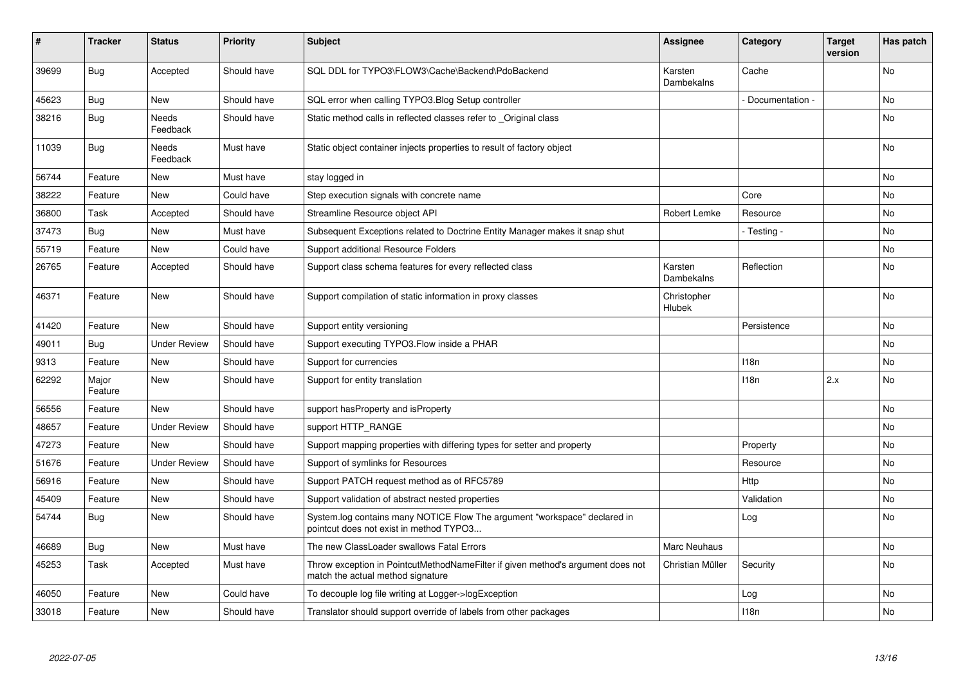| #     | <b>Tracker</b>   | <b>Status</b>       | <b>Priority</b> | <b>Subject</b>                                                                                                       | <b>Assignee</b>       | Category         | <b>Target</b><br>version | Has patch |
|-------|------------------|---------------------|-----------------|----------------------------------------------------------------------------------------------------------------------|-----------------------|------------------|--------------------------|-----------|
| 39699 | <b>Bug</b>       | Accepted            | Should have     | SQL DDL for TYPO3\FLOW3\Cache\Backend\PdoBackend                                                                     | Karsten<br>Dambekalns | Cache            |                          | <b>No</b> |
| 45623 | <b>Bug</b>       | New                 | Should have     | SQL error when calling TYPO3.Blog Setup controller                                                                   |                       | Documentation -  |                          | <b>No</b> |
| 38216 | Bug              | Needs<br>Feedback   | Should have     | Static method calls in reflected classes refer to Original class                                                     |                       |                  |                          | No        |
| 11039 | Bug              | Needs<br>Feedback   | Must have       | Static object container injects properties to result of factory object                                               |                       |                  |                          | No        |
| 56744 | Feature          | <b>New</b>          | Must have       | stay logged in                                                                                                       |                       |                  |                          | No        |
| 38222 | Feature          | New                 | Could have      | Step execution signals with concrete name                                                                            |                       | Core             |                          | No        |
| 36800 | Task             | Accepted            | Should have     | Streamline Resource object API                                                                                       | Robert Lemke          | Resource         |                          | <b>No</b> |
| 37473 | Bug              | New                 | Must have       | Subsequent Exceptions related to Doctrine Entity Manager makes it snap shut                                          |                       | - Testing -      |                          | No        |
| 55719 | Feature          | <b>New</b>          | Could have      | Support additional Resource Folders                                                                                  |                       |                  |                          | No        |
| 26765 | Feature          | Accepted            | Should have     | Support class schema features for every reflected class                                                              | Karsten<br>Dambekalns | Reflection       |                          | No        |
| 46371 | Feature          | <b>New</b>          | Should have     | Support compilation of static information in proxy classes                                                           | Christopher<br>Hlubek |                  |                          | <b>No</b> |
| 41420 | Feature          | <b>New</b>          | Should have     | Support entity versioning                                                                                            |                       | Persistence      |                          | No        |
| 49011 | <b>Bug</b>       | <b>Under Review</b> | Should have     | Support executing TYPO3. Flow inside a PHAR                                                                          |                       |                  |                          | No        |
| 9313  | Feature          | <b>New</b>          | Should have     | Support for currencies                                                                                               |                       | 118n             |                          | No        |
| 62292 | Major<br>Feature | <b>New</b>          | Should have     | Support for entity translation                                                                                       |                       | 118 <sub>n</sub> | 2.x                      | <b>No</b> |
| 56556 | Feature          | <b>New</b>          | Should have     | support hasProperty and isProperty                                                                                   |                       |                  |                          | <b>No</b> |
| 48657 | Feature          | <b>Under Review</b> | Should have     | support HTTP RANGE                                                                                                   |                       |                  |                          | No        |
| 47273 | Feature          | <b>New</b>          | Should have     | Support mapping properties with differing types for setter and property                                              |                       | Property         |                          | No        |
| 51676 | Feature          | <b>Under Review</b> | Should have     | Support of symlinks for Resources                                                                                    |                       | Resource         |                          | <b>No</b> |
| 56916 | Feature          | <b>New</b>          | Should have     | Support PATCH request method as of RFC5789                                                                           |                       | Http             |                          | <b>No</b> |
| 45409 | Feature          | New                 | Should have     | Support validation of abstract nested properties                                                                     |                       | Validation       |                          | No        |
| 54744 | <b>Bug</b>       | <b>New</b>          | Should have     | System.log contains many NOTICE Flow The argument "workspace" declared in<br>pointcut does not exist in method TYPO3 |                       | Log              |                          | No        |
| 46689 | <b>Bug</b>       | <b>New</b>          | Must have       | The new ClassLoader swallows Fatal Errors                                                                            | Marc Neuhaus          |                  |                          | <b>No</b> |
| 45253 | Task             | Accepted            | Must have       | Throw exception in PointcutMethodNameFilter if given method's argument does not<br>match the actual method signature | Christian Müller      | Security         |                          | No        |
| 46050 | Feature          | New                 | Could have      | To decouple log file writing at Logger->logException                                                                 |                       | Log              |                          | <b>No</b> |
| 33018 | Feature          | <b>New</b>          | Should have     | Translator should support override of labels from other packages                                                     |                       | 118n             |                          | No        |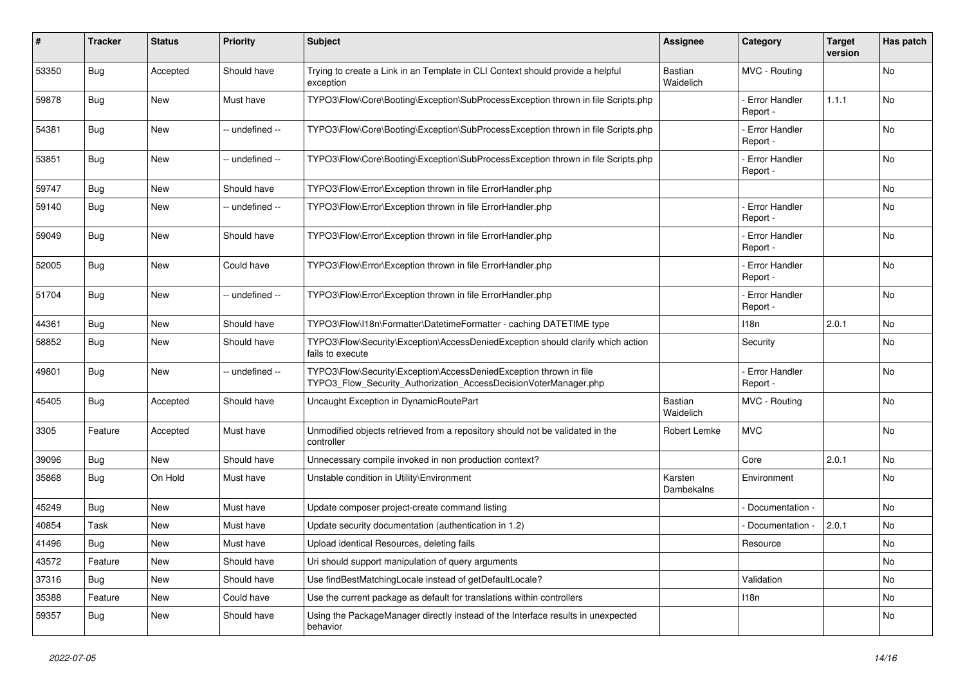| #     | Tracker    | <b>Status</b> | <b>Priority</b> | <b>Subject</b>                                                                                                                         | <b>Assignee</b>             | Category                         | <b>Target</b><br>version | Has patch |
|-------|------------|---------------|-----------------|----------------------------------------------------------------------------------------------------------------------------------------|-----------------------------|----------------------------------|--------------------------|-----------|
| 53350 | Bug        | Accepted      | Should have     | Trying to create a Link in an Template in CLI Context should provide a helpful<br>exception                                            | <b>Bastian</b><br>Waidelich | MVC - Routing                    |                          | No        |
| 59878 | <b>Bug</b> | New           | Must have       | TYPO3\Flow\Core\Booting\Exception\SubProcessException thrown in file Scripts.php                                                       |                             | <b>Error Handler</b><br>Report - | 1.1.1                    | <b>No</b> |
| 54381 | <b>Bug</b> | New           | -- undefined -- | TYPO3\Flow\Core\Booting\Exception\SubProcessException thrown in file Scripts.php                                                       |                             | Error Handler<br>Report -        |                          | No        |
| 53851 | <b>Bug</b> | <b>New</b>    | -- undefined -- | TYPO3\Flow\Core\Booting\Exception\SubProcessException thrown in file Scripts.php                                                       |                             | <b>Error Handler</b><br>Report - |                          | No        |
| 59747 | <b>Bug</b> | <b>New</b>    | Should have     | TYPO3\Flow\Error\Exception thrown in file ErrorHandler.php                                                                             |                             |                                  |                          | <b>No</b> |
| 59140 | Bug        | New           | -- undefined -- | TYPO3\Flow\Error\Exception thrown in file ErrorHandler.php                                                                             |                             | - Error Handler<br>Report -      |                          | No        |
| 59049 | <b>Bug</b> | <b>New</b>    | Should have     | TYPO3\Flow\Error\Exception thrown in file ErrorHandler.php                                                                             |                             | Error Handler<br>Report -        |                          | <b>No</b> |
| 52005 | <b>Bug</b> | New           | Could have      | TYPO3\Flow\Error\Exception thrown in file ErrorHandler.php                                                                             |                             | <b>Error Handler</b><br>Report - |                          | No        |
| 51704 | <b>Bug</b> | <b>New</b>    | -- undefined -- | TYPO3\Flow\Error\Exception thrown in file ErrorHandler.php                                                                             |                             | - Error Handler<br>Report -      |                          | <b>No</b> |
| 44361 | <b>Bug</b> | New           | Should have     | TYPO3\Flow\I18n\Formatter\DatetimeFormatter - caching DATETIME type                                                                    |                             | 118n                             | 2.0.1                    | No        |
| 58852 | <b>Bug</b> | New           | Should have     | TYPO3\Flow\Security\Exception\AccessDeniedException should clarify which action<br>fails to execute                                    |                             | Security                         |                          | No        |
| 49801 | <b>Bug</b> | New           | -- undefined -- | TYPO3\Flow\Security\Exception\AccessDeniedException thrown in file<br>TYPO3 Flow Security Authorization AccessDecisionVoterManager.php |                             | - Error Handler<br>Report -      |                          | No        |
| 45405 | <b>Bug</b> | Accepted      | Should have     | Uncaught Exception in DynamicRoutePart                                                                                                 | Bastian<br>Waidelich        | MVC - Routing                    |                          | No        |
| 3305  | Feature    | Accepted      | Must have       | Unmodified objects retrieved from a repository should not be validated in the<br>controller                                            | Robert Lemke                | <b>MVC</b>                       |                          | No        |
| 39096 | Bug        | New           | Should have     | Unnecessary compile invoked in non production context?                                                                                 |                             | Core                             | 2.0.1                    | No        |
| 35868 | Bug        | On Hold       | Must have       | Unstable condition in Utility\Environment                                                                                              | Karsten<br>Dambekalns       | Environment                      |                          | No        |
| 45249 | Bug        | New           | Must have       | Update composer project-create command listing                                                                                         |                             | Documentation -                  |                          | No        |
| 40854 | Task       | New           | Must have       | Update security documentation (authentication in 1.2)                                                                                  |                             | Documentation                    | 2.0.1                    | No        |
| 41496 | Bug        | New           | Must have       | Upload identical Resources, deleting fails                                                                                             |                             | Resource                         |                          | No        |
| 43572 | Feature    | New           | Should have     | Uri should support manipulation of query arguments                                                                                     |                             |                                  |                          | No        |
| 37316 | Bug        | New           | Should have     | Use findBestMatchingLocale instead of getDefaultLocale?                                                                                |                             | Validation                       |                          | No        |
| 35388 | Feature    | New           | Could have      | Use the current package as default for translations within controllers                                                                 |                             | 118n                             |                          | No        |
| 59357 | Bug        | New           | Should have     | Using the PackageManager directly instead of the Interface results in unexpected<br>behavior                                           |                             |                                  |                          | No        |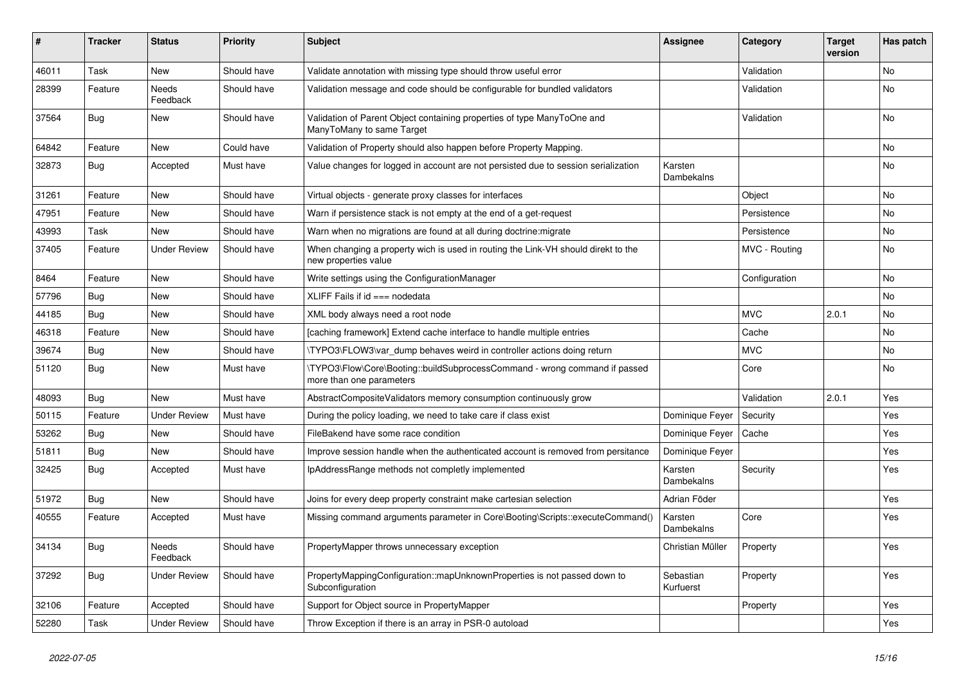| ∦     | <b>Tracker</b> | <b>Status</b>            | <b>Priority</b> | <b>Subject</b>                                                                                            | <b>Assignee</b>        | Category      | <b>Target</b><br>version | Has patch |
|-------|----------------|--------------------------|-----------------|-----------------------------------------------------------------------------------------------------------|------------------------|---------------|--------------------------|-----------|
| 46011 | Task           | <b>New</b>               | Should have     | Validate annotation with missing type should throw useful error                                           |                        | Validation    |                          | <b>No</b> |
| 28399 | Feature        | <b>Needs</b><br>Feedback | Should have     | Validation message and code should be configurable for bundled validators                                 |                        | Validation    |                          | <b>No</b> |
| 37564 | Bug            | <b>New</b>               | Should have     | Validation of Parent Object containing properties of type ManyToOne and<br>ManyToMany to same Target      |                        | Validation    |                          | No        |
| 64842 | Feature        | <b>New</b>               | Could have      | Validation of Property should also happen before Property Mapping.                                        |                        |               |                          | No        |
| 32873 | Bug            | Accepted                 | Must have       | Value changes for logged in account are not persisted due to session serialization                        | Karsten<br>Dambekalns  |               |                          | No        |
| 31261 | Feature        | <b>New</b>               | Should have     | Virtual objects - generate proxy classes for interfaces                                                   |                        | Object        |                          | <b>No</b> |
| 47951 | Feature        | <b>New</b>               | Should have     | Warn if persistence stack is not empty at the end of a get-request                                        |                        | Persistence   |                          | <b>No</b> |
| 43993 | Task           | <b>New</b>               | Should have     | Warn when no migrations are found at all during doctrine: migrate                                         |                        | Persistence   |                          | <b>No</b> |
| 37405 | Feature        | <b>Under Review</b>      | Should have     | When changing a property wich is used in routing the Link-VH should direkt to the<br>new properties value |                        | MVC - Routing |                          | <b>No</b> |
| 8464  | Feature        | New                      | Should have     | Write settings using the ConfigurationManager                                                             |                        | Configuration |                          | No        |
| 57796 | <b>Bug</b>     | New                      | Should have     | XLIFF Fails if $id ==$ nodedata                                                                           |                        |               |                          | No        |
| 44185 | <b>Bug</b>     | New                      | Should have     | XML body always need a root node                                                                          |                        | <b>MVC</b>    | 2.0.1                    | No        |
| 46318 | Feature        | <b>New</b>               | Should have     | [caching framework] Extend cache interface to handle multiple entries                                     |                        | Cache         |                          | No        |
| 39674 | Bug            | New                      | Should have     | \TYPO3\FLOW3\var dump behaves weird in controller actions doing return                                    |                        | <b>MVC</b>    |                          | No        |
| 51120 | <b>Bug</b>     | <b>New</b>               | Must have       | \TYPO3\Flow\Core\Booting::buildSubprocessCommand - wrong command if passed<br>more than one parameters    |                        | Core          |                          | No        |
| 48093 | Bug            | <b>New</b>               | Must have       | AbstractCompositeValidators memory consumption continuously grow                                          |                        | Validation    | 2.0.1                    | Yes       |
| 50115 | Feature        | <b>Under Review</b>      | Must have       | During the policy loading, we need to take care if class exist                                            | Dominique Feyer        | Security      |                          | Yes       |
| 53262 | <b>Bug</b>     | <b>New</b>               | Should have     | FileBakend have some race condition                                                                       | Dominique Feyer        | Cache         |                          | Yes       |
| 51811 | Bug            | <b>New</b>               | Should have     | Improve session handle when the authenticated account is removed from persitance                          | Dominique Feyer        |               |                          | Yes       |
| 32425 | Bug            | Accepted                 | Must have       | IpAddressRange methods not completly implemented                                                          | Karsten<br>Dambekalns  | Security      |                          | Yes       |
| 51972 | Bug            | New                      | Should have     | Joins for every deep property constraint make cartesian selection                                         | Adrian Föder           |               |                          | Yes       |
| 40555 | Feature        | Accepted                 | Must have       | Missing command arguments parameter in Core\Booting\Scripts::executeCommand()                             | Karsten<br>Dambekalns  | Core          |                          | Yes       |
| 34134 | Bug            | <b>Needs</b><br>Feedback | Should have     | PropertyMapper throws unnecessary exception                                                               | Christian Müller       | Property      |                          | Yes       |
| 37292 | Bug            | <b>Under Review</b>      | Should have     | PropertyMappingConfiguration::mapUnknownProperties is not passed down to<br>Subconfiguration              | Sebastian<br>Kurfuerst | Property      |                          | Yes       |
| 32106 | Feature        | Accepted                 | Should have     | Support for Object source in PropertyMapper                                                               |                        | Property      |                          | Yes       |
| 52280 | Task           | <b>Under Review</b>      | Should have     | Throw Exception if there is an array in PSR-0 autoload                                                    |                        |               |                          | Yes       |